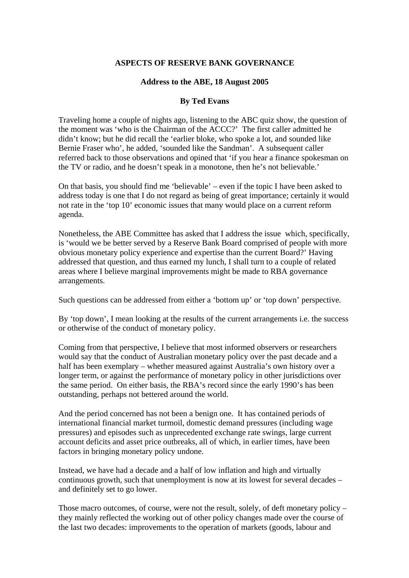## **ASPECTS OF RESERVE BANK GOVERNANCE**

## **Address to the ABE, 18 August 2005**

## **By Ted Evans**

Traveling home a couple of nights ago, listening to the ABC quiz show, the question of the moment was 'who is the Chairman of the ACCC?' The first caller admitted he didn't know; but he did recall the 'earlier bloke, who spoke a lot, and sounded like Bernie Fraser who', he added, 'sounded like the Sandman'. A subsequent caller referred back to those observations and opined that 'if you hear a finance spokesman on the TV or radio, and he doesn't speak in a monotone, then he's not believable.'

On that basis, you should find me 'believable' – even if the topic I have been asked to address today is one that I do not regard as being of great importance; certainly it would not rate in the 'top 10' economic issues that many would place on a current reform agenda.

Nonetheless, the ABE Committee has asked that I address the issue which, specifically, is 'would we be better served by a Reserve Bank Board comprised of people with more obvious monetary policy experience and expertise than the current Board?' Having addressed that question, and thus earned my lunch, I shall turn to a couple of related areas where I believe marginal improvements might be made to RBA governance arrangements.

Such questions can be addressed from either a 'bottom up' or 'top down' perspective.

By 'top down', I mean looking at the results of the current arrangements i.e. the success or otherwise of the conduct of monetary policy.

Coming from that perspective, I believe that most informed observers or researchers would say that the conduct of Australian monetary policy over the past decade and a half has been exemplary – whether measured against Australia's own history over a longer term, or against the performance of monetary policy in other jurisdictions over the same period. On either basis, the RBA's record since the early 1990's has been outstanding, perhaps not bettered around the world.

And the period concerned has not been a benign one. It has contained periods of international financial market turmoil, domestic demand pressures (including wage pressures) and episodes such as unprecedented exchange rate swings, large current account deficits and asset price outbreaks, all of which, in earlier times, have been factors in bringing monetary policy undone.

Instead, we have had a decade and a half of low inflation and high and virtually continuous growth, such that unemployment is now at its lowest for several decades – and definitely set to go lower.

Those macro outcomes, of course, were not the result, solely, of deft monetary policy – they mainly reflected the working out of other policy changes made over the course of the last two decades: improvements to the operation of markets (goods, labour and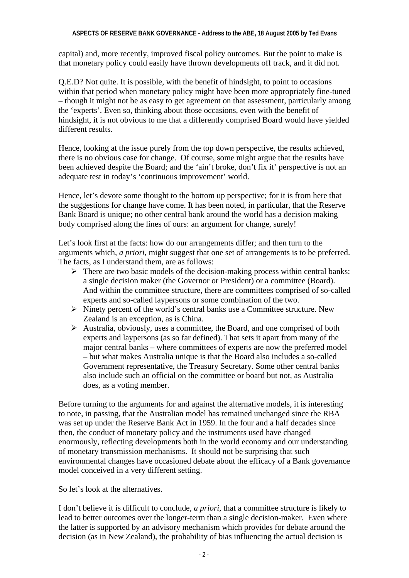capital) and, more recently, improved fiscal policy outcomes. But the point to make is that monetary policy could easily have thrown developments off track, and it did not.

Q.E.D? Not quite. It is possible, with the benefit of hindsight, to point to occasions within that period when monetary policy might have been more appropriately fine-tuned – though it might not be as easy to get agreement on that assessment, particularly among the 'experts'. Even so, thinking about those occasions, even with the benefit of hindsight, it is not obvious to me that a differently comprised Board would have yielded different results.

Hence, looking at the issue purely from the top down perspective, the results achieved, there is no obvious case for change. Of course, some might argue that the results have been achieved despite the Board; and the 'ain't broke, don't fix it' perspective is not an adequate test in today's 'continuous improvement' world.

Hence, let's devote some thought to the bottom up perspective; for it is from here that the suggestions for change have come. It has been noted, in particular, that the Reserve Bank Board is unique; no other central bank around the world has a decision making body comprised along the lines of ours: an argument for change, surely!

Let's look first at the facts: how do our arrangements differ; and then turn to the arguments which, *a priori,* might suggest that one set of arrangements is to be preferred. The facts, as I understand them, are as follows:

- $\triangleright$  There are two basic models of the decision-making process within central banks: a single decision maker (the Governor or President) or a committee (Board). And within the committee structure, there are committees comprised of so-called experts and so-called laypersons or some combination of the two.
- $\triangleright$  Ninety percent of the world's central banks use a Committee structure. New Zealand is an exception, as is China.
- $\triangleright$  Australia, obviously, uses a committee, the Board, and one comprised of both experts and laypersons (as so far defined). That sets it apart from many of the major central banks – where committees of experts are now the preferred model – but what makes Australia unique is that the Board also includes a so-called Government representative, the Treasury Secretary. Some other central banks also include such an official on the committee or board but not, as Australia does, as a voting member.

Before turning to the arguments for and against the alternative models, it is interesting to note, in passing, that the Australian model has remained unchanged since the RBA was set up under the Reserve Bank Act in 1959. In the four and a half decades since then, the conduct of monetary policy and the instruments used have changed enormously, reflecting developments both in the world economy and our understanding of monetary transmission mechanisms. It should not be surprising that such environmental changes have occasioned debate about the efficacy of a Bank governance model conceived in a very different setting.

So let's look at the alternatives.

I don't believe it is difficult to conclude, *a priori*, that a committee structure is likely to lead to better outcomes over the longer-term than a single decision-maker. Even where the latter is supported by an advisory mechanism which provides for debate around the decision (as in New Zealand), the probability of bias influencing the actual decision is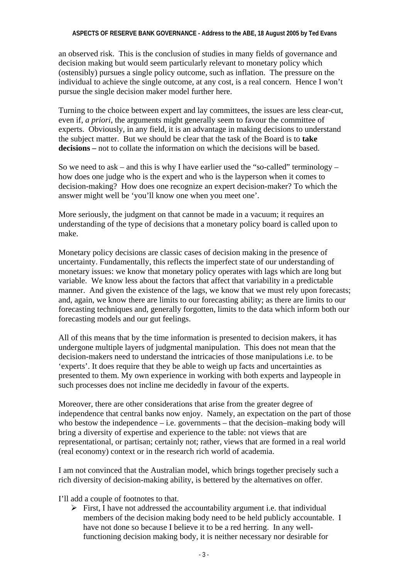an observed risk. This is the conclusion of studies in many fields of governance and decision making but would seem particularly relevant to monetary policy which (ostensibly) pursues a single policy outcome, such as inflation. The pressure on the individual to achieve the single outcome, at any cost, is a real concern. Hence I won't pursue the single decision maker model further here.

Turning to the choice between expert and lay committees, the issues are less clear-cut, even if, *a priori*, the arguments might generally seem to favour the committee of experts. Obviously, in any field, it is an advantage in making decisions to understand the subject matter. But we should be clear that the task of the Board is to **take decisions –** not to collate the information on which the decisions will be based.

So we need to ask – and this is why I have earlier used the "so-called" terminology – how does one judge who is the expert and who is the layperson when it comes to decision-making? How does one recognize an expert decision-maker? To which the answer might well be 'you'll know one when you meet one'.

More seriously, the judgment on that cannot be made in a vacuum; it requires an understanding of the type of decisions that a monetary policy board is called upon to make.

Monetary policy decisions are classic cases of decision making in the presence of uncertainty. Fundamentally, this reflects the imperfect state of our understanding of monetary issues: we know that monetary policy operates with lags which are long but variable. We know less about the factors that affect that variability in a predictable manner. And given the existence of the lags, we know that we must rely upon forecasts; and, again, we know there are limits to our forecasting ability; as there are limits to our forecasting techniques and, generally forgotten, limits to the data which inform both our forecasting models and our gut feelings.

All of this means that by the time information is presented to decision makers, it has undergone multiple layers of judgmental manipulation. This does not mean that the decision-makers need to understand the intricacies of those manipulations i.e. to be 'experts'. It does require that they be able to weigh up facts and uncertainties as presented to them. My own experience in working with both experts and laypeople in such processes does not incline me decidedly in favour of the experts.

Moreover, there are other considerations that arise from the greater degree of independence that central banks now enjoy. Namely, an expectation on the part of those who bestow the independence  $-$  i.e. governments  $-$  that the decision–making body will bring a diversity of expertise and experience to the table: not views that are representational, or partisan; certainly not; rather, views that are formed in a real world (real economy) context or in the research rich world of academia.

I am not convinced that the Australian model, which brings together precisely such a rich diversity of decision-making ability, is bettered by the alternatives on offer.

I'll add a couple of footnotes to that.

 $\triangleright$  First, I have not addressed the accountability argument i.e. that individual members of the decision making body need to be held publicly accountable. I have not done so because I believe it to be a red herring. In any wellfunctioning decision making body, it is neither necessary nor desirable for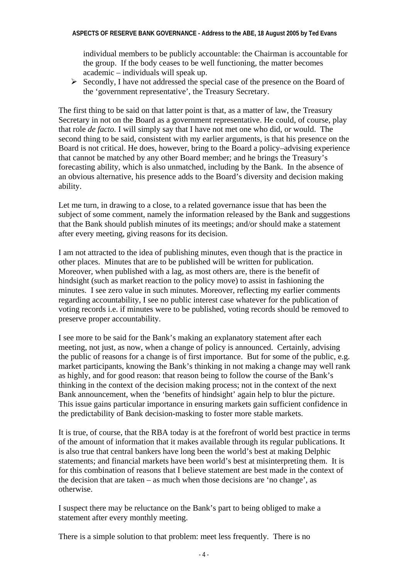individual members to be publicly accountable: the Chairman is accountable for the group. If the body ceases to be well functioning, the matter becomes academic – individuals will speak up.

 $\triangleright$  Secondly, I have not addressed the special case of the presence on the Board of the 'government representative', the Treasury Secretary.

The first thing to be said on that latter point is that, as a matter of law, the Treasury Secretary in not on the Board as a government representative. He could, of course, play that role *de facto.* I will simply say that I have not met one who did, or would. The second thing to be said, consistent with my earlier arguments, is that his presence on the Board is not critical. He does, however, bring to the Board a policy–advising experience that cannot be matched by any other Board member; and he brings the Treasury's forecasting ability, which is also unmatched, including by the Bank. In the absence of an obvious alternative, his presence adds to the Board's diversity and decision making ability.

Let me turn, in drawing to a close, to a related governance issue that has been the subject of some comment, namely the information released by the Bank and suggestions that the Bank should publish minutes of its meetings; and/or should make a statement after every meeting, giving reasons for its decision.

I am not attracted to the idea of publishing minutes, even though that is the practice in other places. Minutes that are to be published will be written for publication. Moreover, when published with a lag, as most others are, there is the benefit of hindsight (such as market reaction to the policy move) to assist in fashioning the minutes. I see zero value in such minutes. Moreover, reflecting my earlier comments regarding accountability, I see no public interest case whatever for the publication of voting records i.e. if minutes were to be published, voting records should be removed to preserve proper accountability.

I see more to be said for the Bank's making an explanatory statement after each meeting, not just, as now, when a change of policy is announced. Certainly, advising the public of reasons for a change is of first importance. But for some of the public, e.g. market participants, knowing the Bank's thinking in not making a change may well rank as highly, and for good reason: that reason being to follow the course of the Bank's thinking in the context of the decision making process; not in the context of the next Bank announcement, when the 'benefits of hindsight' again help to blur the picture. This issue gains particular importance in ensuring markets gain sufficient confidence in the predictability of Bank decision-masking to foster more stable markets.

It is true, of course, that the RBA today is at the forefront of world best practice in terms of the amount of information that it makes available through its regular publications. It is also true that central bankers have long been the world's best at making Delphic statements; and financial markets have been world's best at misinterpreting them. It is for this combination of reasons that I believe statement are best made in the context of the decision that are taken – as much when those decisions are 'no change', as otherwise.

I suspect there may be reluctance on the Bank's part to being obliged to make a statement after every monthly meeting.

There is a simple solution to that problem: meet less frequently. There is no